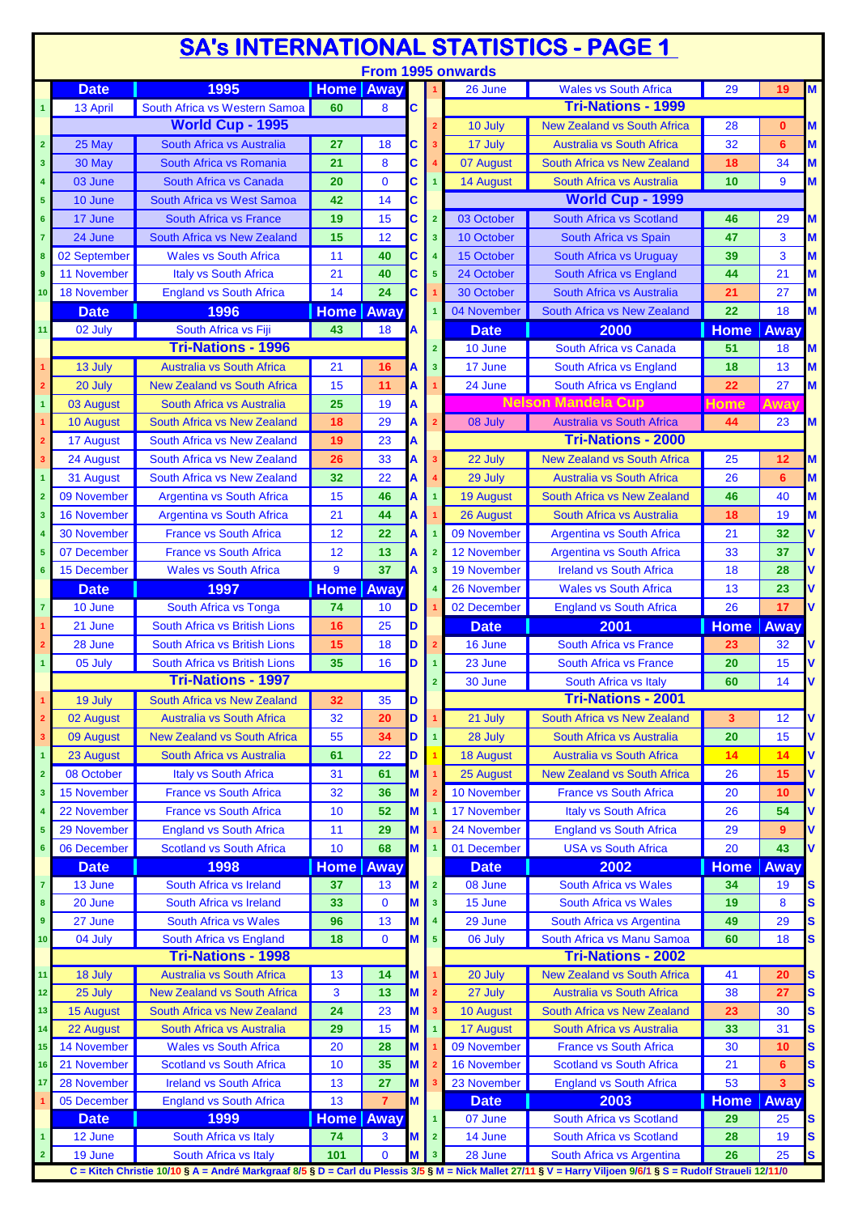| <b>SA's INTERNATIONAL STATISTICS - PAGE 1</b> |                    |                                                                                                                                                                                       |                  |                |   |                         |                    |                                    |                    |             |   |
|-----------------------------------------------|--------------------|---------------------------------------------------------------------------------------------------------------------------------------------------------------------------------------|------------------|----------------|---|-------------------------|--------------------|------------------------------------|--------------------|-------------|---|
|                                               |                    |                                                                                                                                                                                       |                  |                |   |                         | From 1995 onwards  |                                    |                    |             |   |
|                                               | <b>Date</b>        | 1995                                                                                                                                                                                  | <b>Home</b> Away |                |   |                         | 26 June            | <b>Wales vs South Africa</b>       | 29                 | 19          | M |
| $\mathbf{1}$                                  | 13 April           | South Africa vs Western Samoa                                                                                                                                                         | 60               | 8              | C |                         |                    | <b>Tri-Nations - 1999</b>          |                    |             |   |
|                                               |                    | <b>World Cup - 1995</b>                                                                                                                                                               |                  |                |   | $\overline{2}$          | 10 July            | <b>New Zealand vs South Africa</b> | 28                 | $\bf{0}$    | M |
| $\overline{\mathbf{2}}$                       | 25 May             | South Africa vs Australia                                                                                                                                                             | 27               | 18             | С |                         | 17 July            | <b>Australia vs South Africa</b>   | 32                 | 6           | M |
| 3                                             | 30 May             | South Africa vs Romania                                                                                                                                                               | 21               | 8              | C |                         | 07 August          | South Africa vs New Zealand        | 18                 | 34          | M |
| 4                                             | 03 June            | South Africa vs Canada                                                                                                                                                                | 20               | $\mathbf 0$    | C |                         | 14 August          | South Africa vs Australia          | 10                 | 9           | M |
| 5                                             | 10 June            | South Africa vs West Samoa                                                                                                                                                            | 42               | 14             | C |                         |                    | World Cup - 1999                   |                    |             |   |
| 6                                             | 17 June            | South Africa vs France                                                                                                                                                                | 19               | 15             | C | $\overline{2}$          | 03 October         | South Africa vs Scotland           | 46                 | 29          | M |
| $\overline{7}$                                | 24 June            | South Africa vs New Zealand                                                                                                                                                           | 15               | 12             | C | $\overline{\mathbf{3}}$ | 10 October         | South Africa vs Spain              | 47                 | 3           | M |
| 8                                             | 02 September       | <b>Wales vs South Africa</b>                                                                                                                                                          | 11               | 40             | C | $\overline{4}$          | 15 October         | South Africa vs Uruguay            | 39                 | 3           | M |
| 9                                             | 11 November        | <b>Italy vs South Africa</b>                                                                                                                                                          | 21               | 40             | C | $\overline{\mathbf{5}}$ | 24 October         | South Africa vs England            | 44                 | 21          | M |
| 10                                            | <b>18 November</b> | <b>England vs South Africa</b>                                                                                                                                                        | 14               | 24             | C |                         | 30 October         | South Africa vs Australia          | 21                 | 27          | M |
|                                               | <b>Date</b>        | 1996                                                                                                                                                                                  | <b>Home Away</b> |                |   |                         | 04 November        | South Africa vs New Zealand        | 22                 | 18          | M |
| 11                                            | 02 July            | South Africa vs Fiji                                                                                                                                                                  | 43               | 18             | A |                         | <b>Date</b>        | 2000                               | <b>Home</b>        | <b>Away</b> |   |
|                                               |                    | <b>Tri-Nations - 1996</b>                                                                                                                                                             |                  |                |   | $\overline{2}$          | 10 June            | South Africa vs Canada             | 51                 | 18          | M |
| 1                                             | 13 July            | <b>Australia vs South Africa</b>                                                                                                                                                      | 21               | 16             | А | 3                       | 17 June            | South Africa vs England            | 18                 | 13          | M |
| $\overline{\mathbf{2}}$                       | 20 July            | <b>New Zealand vs South Africa</b>                                                                                                                                                    | 15               | 11             | А |                         | 24 June            | South Africa vs England            | 22                 | 27          | M |
| $\mathbf{1}$                                  | 03 August          | <b>South Africa vs Australia</b>                                                                                                                                                      | 25               | 19             | А |                         |                    | <b>Nelson Mandela Cup</b>          | Home               | <b>Away</b> |   |
| 1                                             | 10 August          | South Africa vs New Zealand                                                                                                                                                           | 18               | 29             | Α |                         | 08 July            | <b>Australia vs South Africa</b>   | 44                 | 23          | M |
| $\overline{\mathbf{2}}$                       | 17 August          | South Africa vs New Zealand                                                                                                                                                           | 19               | 23             | А |                         |                    | <b>Tri-Nations - 2000</b>          |                    |             |   |
| 3                                             | 24 August          | South Africa vs New Zealand                                                                                                                                                           | 26               | 33             | A |                         | 22 July            | <b>New Zealand vs South Africa</b> | 25                 | 12          | M |
| $\mathbf{1}$                                  | 31 August          | South Africa vs New Zealand                                                                                                                                                           | 32               | 22             | Α |                         | 29 July            | <b>Australia vs South Africa</b>   | 26                 | 6           | M |
| $\overline{2}$                                | 09 November        | <b>Argentina vs South Africa</b>                                                                                                                                                      | 15               | 46             | А |                         | <b>19 August</b>   | South Africa vs New Zealand        | 46                 | 40          | M |
| 3                                             | <b>16 November</b> | <b>Argentina vs South Africa</b>                                                                                                                                                      | 21               | 44             | А |                         | 26 August          | South Africa vs Australia          | 18                 | 19          | M |
|                                               | <b>30 November</b> | <b>France vs South Africa</b>                                                                                                                                                         | 12               | 22             | А |                         | 09 November        | <b>Argentina vs South Africa</b>   | 21                 | 32          |   |
| 5                                             | 07 December        | <b>France vs South Africa</b>                                                                                                                                                         | 12               | 13             | Α | $\overline{2}$          | 12 November        | <b>Argentina vs South Africa</b>   | 33                 | 37          |   |
| $6\phantom{a}$                                | 15 December        | <b>Wales vs South Africa</b>                                                                                                                                                          | 9                | 37             | A | $\overline{\mathbf{3}}$ | <b>19 November</b> | <b>Ireland vs South Africa</b>     | 18                 | 28          |   |
|                                               | <b>Date</b>        | 1997                                                                                                                                                                                  | <b>Home</b>      | Away           |   |                         | 26 November        | <b>Wales vs South Africa</b>       | 13                 | 23          |   |
| $\overline{7}$                                | 10 June            | South Africa vs Tonga                                                                                                                                                                 | 74               | 10             | D |                         | 02 December        | <b>England vs South Africa</b>     | 26                 | 17          |   |
|                                               | 21 June            | South Africa vs British Lions                                                                                                                                                         | 16               | 25             | D |                         | <b>Date</b>        | 2001                               | <b>Home</b>        | Away        |   |
|                                               | 28 June            | South Africa vs British Lions                                                                                                                                                         | 15               | 18             | D | $\overline{2}$          | 16 June            | <b>South Africa vs France</b>      | 23                 | 32          | v |
|                                               | 05 July            | South Africa vs British Lions                                                                                                                                                         | 35               | 16             | D |                         | 23 June            | <b>South Africa vs France</b>      | 20                 | 15          |   |
|                                               |                    | <b>Tri-Nations - 1997</b>                                                                                                                                                             |                  |                |   | $\overline{2}$          | 30 June            | South Africa vs Italy              | 60                 | 14          |   |
| $\overline{1}$                                | 19 July            | South Africa vs New Zealand                                                                                                                                                           | 32               | 35             | D |                         |                    | <b>Tri-Nations - 2001</b>          |                    |             |   |
| $\overline{\mathbf{2}}$                       | 02 August          | <b>Australia vs South Africa</b>                                                                                                                                                      | 32               | 20             | D |                         | 21 July            | South Africa vs New Zealand        | 3                  | 12          | ۷ |
| 3                                             | 09 August          | <b>New Zealand vs South Africa</b>                                                                                                                                                    | 55               | 34             | D |                         | 28 July            | South Africa vs Australia          | 20                 | 15          | V |
|                                               |                    |                                                                                                                                                                                       |                  | 22             |   |                         |                    | <b>Australia vs South Africa</b>   | 14                 |             |   |
| $\mathbf{1}$                                  | 23 August          | South Africa vs Australia                                                                                                                                                             | 61               |                | D |                         | <b>18 August</b>   |                                    |                    | 14          | ٨ |
| $\overline{\mathbf{2}}$                       | 08 October         | Italy vs South Africa                                                                                                                                                                 | 31               | 61             | M |                         | 25 August          | <b>New Zealand vs South Africa</b> | 26                 | 15          | ٧ |
| 3                                             | <b>15 November</b> | <b>France vs South Africa</b>                                                                                                                                                         | 32               | 36             | M |                         | 10 November        | <b>France vs South Africa</b>      | 20                 | 10          | V |
| 4                                             | 22 November        | <b>France vs South Africa</b>                                                                                                                                                         | 10               | 52             | M |                         | <b>17 November</b> | <b>Italy vs South Africa</b>       | 26                 | 54          | V |
| 5                                             | 29 November        | <b>England vs South Africa</b>                                                                                                                                                        | 11               | 29             | M |                         | 24 November        | <b>England vs South Africa</b>     | 29                 | 9           | ٧ |
| 6                                             | 06 December        | <b>Scotland vs South Africa</b>                                                                                                                                                       | 10               | 68             | M |                         | 01 December        | <b>USA vs South Africa</b>         | 20                 | 43          | V |
|                                               | <b>Date</b>        | 1998                                                                                                                                                                                  | <b>Home</b> Away |                |   |                         | <b>Date</b>        | 2002                               | <b>Home</b>        | <b>Away</b> |   |
| $\mathbf 7$                                   | 13 June            | South Africa vs Ireland                                                                                                                                                               | 37               | 13             | M | $\overline{2}$          | 08 June            | South Africa vs Wales              | 34                 | 19          | S |
| 8                                             | 20 June            | South Africa vs Ireland                                                                                                                                                               | 33               | $\mathbf 0$    | M | $\overline{\mathbf{3}}$ | 15 June            | South Africa vs Wales              | 19                 | 8           | S |
| 9                                             | 27 June            | <b>South Africa vs Wales</b>                                                                                                                                                          | 96               | 13             | M | $\overline{4}$          | 29 June            | South Africa vs Argentina          | 49                 | 29          | S |
| 10                                            | 04 July            | South Africa vs England                                                                                                                                                               | 18               | $\mathbf 0$    | M | $\sqrt{5}$              | 06 July            | South Africa vs Manu Samoa         | 60                 | 18          | S |
|                                               |                    | <b>Tri-Nations - 1998</b>                                                                                                                                                             |                  |                |   |                         |                    | <b>Tri-Nations - 2002</b>          |                    |             |   |
| 11                                            | 18 July            | <b>Australia vs South Africa</b>                                                                                                                                                      | 13               | 14             | M |                         | 20 July            | <b>New Zealand vs South Africa</b> | 41                 | 20          | S |
| 12                                            | 25 July            | <b>New Zealand vs South Africa</b>                                                                                                                                                    | 3                | 13             | M |                         | 27 July            | <b>Australia vs South Africa</b>   | 38                 | 27          | S |
| 13                                            | <b>15 August</b>   | South Africa vs New Zealand                                                                                                                                                           | 24               | 23             | M |                         | 10 August          | South Africa vs New Zealand        | 23                 | 30          | S |
| 14                                            | 22 August          | South Africa vs Australia                                                                                                                                                             | 29               | 15             | M |                         | <b>17 August</b>   | South Africa vs Australia          | 33                 | 31          | S |
| 15                                            | <b>14 November</b> | <b>Wales vs South Africa</b>                                                                                                                                                          | 20               | 28             | M |                         | 09 November        | <b>France vs South Africa</b>      | 30                 | 10          | S |
| 16                                            | 21 November        | <b>Scotland vs South Africa</b>                                                                                                                                                       | 10               | 35             | M |                         | <b>16 November</b> | <b>Scotland vs South Africa</b>    | 21                 | 6           | S |
| 17                                            | 28 November        | <b>Ireland vs South Africa</b>                                                                                                                                                        | 13               | 27             | M |                         | 23 November        | <b>England vs South Africa</b>     | 53                 | 3           | S |
|                                               | 05 December        | <b>England vs South Africa</b>                                                                                                                                                        | 13               | $\overline{7}$ | M |                         | <b>Date</b>        | 2003                               | <b>Home   Away</b> |             |   |
|                                               | <b>Date</b>        | 1999                                                                                                                                                                                  | <b>Home</b> Away |                |   | $\overline{1}$          | 07 June            | South Africa vs Scotland           | 29                 | 25          | S |
| $\mathbf{1}$                                  | 12 June            | South Africa vs Italy                                                                                                                                                                 | 74               | 3              | M | $\overline{2}$          | 14 June            | South Africa vs Scotland           | 28                 | 19          | S |
| $\overline{2}$                                | 19 June            | South Africa vs Italy<br>C = Kitch Christie 10/10 § A = André Markgraaf 8/5 § D = Carl du Plessis 3/5 § M = Nick Mallet 27/11 § V = Harry Viljoen 9/6/1 § S = Rudolf Straueli 12/11/0 | 101              | $\mathbf 0$    |   | 3 <sup>2</sup>          | 28 June            | South Africa vs Argentina          | 26                 | 25          | S |
|                                               |                    |                                                                                                                                                                                       |                  |                |   |                         |                    |                                    |                    |             |   |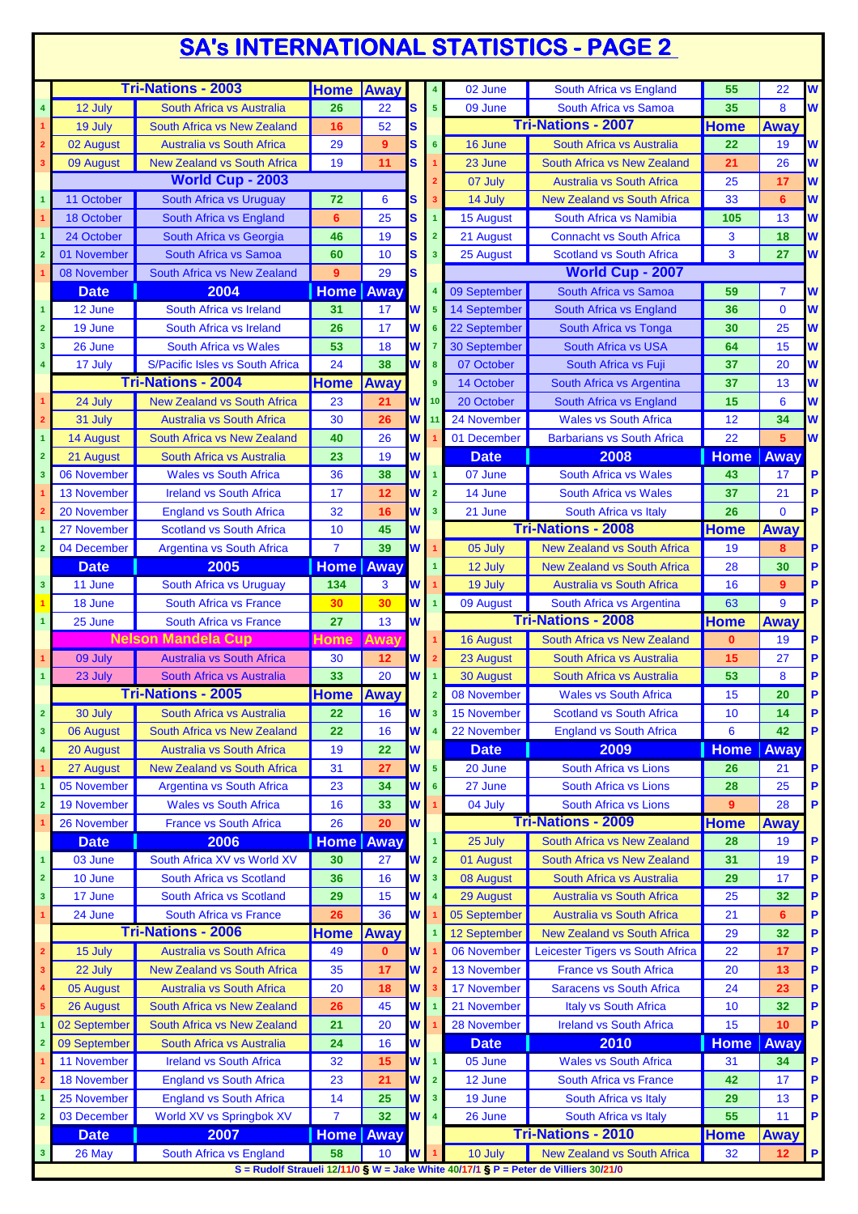## **SA's INTERNATIONAL STATISTICS - PAGE 2**

|                         |                    | <b>Tri-Nations - 2003</b>          | <b>Home Away</b> |              |          | 4                       | 02 June      | South Africa vs England                                                              | 55          | 22             | W |
|-------------------------|--------------------|------------------------------------|------------------|--------------|----------|-------------------------|--------------|--------------------------------------------------------------------------------------|-------------|----------------|---|
| $\overline{\mathbf{4}}$ | 12 July            | South Africa vs Australia          | 26               | 22           | S        | 5 <sup>5</sup>          | 09 June      | South Africa vs Samoa                                                                | 35          | 8              | W |
|                         | 19 July            | South Africa vs New Zealand        | 16               | 52           | S        |                         |              | <b>Tri-Nations - 2007</b>                                                            | <b>Home</b> | Away           |   |
|                         | 02 August          | <b>Australia vs South Africa</b>   | 29               | 9            | S        | $6\overline{6}$         | 16 June      | South Africa vs Australia                                                            | 22          | 19             | W |
|                         | 09 August          | <b>New Zealand vs South Africa</b> | 19               | 11           | S        |                         | 23 June      | South Africa vs New Zealand                                                          | 21          | 26             | W |
|                         |                    | <b>World Cup - 2003</b>            |                  |              |          |                         | 07 July      | <b>Australia vs South Africa</b>                                                     | 25          | 17             | W |
|                         | 11 October         | South Africa vs Uruguay            | 72               | 6            | S        | 3                       | 14 July      | <b>New Zealand vs South Africa</b>                                                   | 33          | 6              | W |
|                         |                    |                                    |                  |              |          |                         |              |                                                                                      |             |                |   |
|                         | 18 October         | South Africa vs England            | 6                | 25           | S        | $\mathbf{1}$            | 15 August    | South Africa vs Namibia                                                              | 105         | 13             | W |
|                         | 24 October         | South Africa vs Georgia            | 46               | 19           | S        | 2 <sup>1</sup>          | 21 August    | <b>Connacht vs South Africa</b>                                                      | 3           | 18             | W |
| $\overline{2}$          | 01 November        | South Africa vs Samoa              | 60               | 10           | S        | 3 <sup>1</sup>          | 25 August    | <b>Scotland vs South Africa</b>                                                      | 3           | 27             | W |
|                         | 08 November        | South Africa vs New Zealand        | 9                | 29           | S        |                         |              | <b>World Cup - 2007</b>                                                              |             |                |   |
|                         | <b>Date</b>        | 2004                               | <b>Home Away</b> |              |          | $\overline{4}$          | 09 September | South Africa vs Samoa                                                                | 59          | $\overline{7}$ | W |
| $\overline{1}$          | 12 June            | South Africa vs Ireland            | 31               | 17           | W        | 5 <sub>5</sub>          | 14 September | South Africa vs England                                                              | 36          | $\mathbf{0}$   | W |
| $\overline{2}$          | 19 June            | South Africa vs Ireland            | 26               | 17           | W        | 6                       | 22 September | South Africa vs Tonga                                                                | 30          | 25             | W |
| $\mathbf{3}$            | 26 June            | <b>South Africa vs Wales</b>       | 53               | 18           | W        | $\overline{7}$          | 30 September | <b>South Africa vs USA</b>                                                           | 64          | 15             | W |
| 4                       | 17 July            | S/Pacific Isles vs South Africa    | 24               | 38           | W        | 8                       | 07 October   | South Africa vs Fuji                                                                 | 37          | 20             | W |
|                         |                    | <b>Tri-Nations - 2004</b>          | <b>Home</b>      | Away         |          | 9 <sup>°</sup>          | 14 October   | South Africa vs Argentina                                                            | 37          | 13             | W |
|                         | 24 July            | <b>New Zealand vs South Africa</b> | 23               | 21           | W        | 10                      | 20 October   | South Africa vs England                                                              | 15          | 6              | W |
|                         |                    |                                    |                  |              |          |                         |              |                                                                                      |             |                |   |
|                         | 31 July            | <b>Australia vs South Africa</b>   | 30               | 26           | W        | 11                      | 24 November  | <b>Wales vs South Africa</b>                                                         | 12          | 34             | W |
| $\overline{1}$          | <b>14 August</b>   | South Africa vs New Zealand        | 40               | 26           | W        |                         | 01 December  | <b>Barbarians vs South Africa</b>                                                    | 22          | 5 <sup>5</sup> | W |
| $\overline{2}$          | 21 August          | South Africa vs Australia          | 23               | 19           | W        |                         | <b>Date</b>  | 2008                                                                                 | <b>Home</b> | Away           |   |
| 3                       | 06 November        | <b>Wales vs South Africa</b>       | 36               | 38           | W        | $\overline{1}$          | 07 June      | <b>South Africa vs Wales</b>                                                         | 43          | 17             | P |
|                         | 13 November        | <b>Ireland vs South Africa</b>     | 17               | 12           | W        | $\overline{2}$          | 14 June      | <b>South Africa vs Wales</b>                                                         | 37          | 21             | P |
|                         | 20 November        | <b>England vs South Africa</b>     | 32               | 16           | W        | 3 <sup>2</sup>          | 21 June      | South Africa vs Italy                                                                | 26          | $\mathbf{0}$   | P |
|                         | 27 November        | <b>Scotland vs South Africa</b>    | 10               | 45           | W        |                         |              | <b>Tri-Nations - 2008</b>                                                            | <b>Home</b> | Away           |   |
| $\overline{2}$          | 04 December        | <b>Argentina vs South Africa</b>   | $\overline{7}$   | 39           | W        |                         | 05 July      | <b>New Zealand vs South Africa</b>                                                   | 19          | 8              | P |
|                         | <b>Date</b>        | 2005                               | <b>Home</b>      | Away         |          | $\overline{1}$          | 12 July      | <b>New Zealand vs South Africa</b>                                                   | 28          | 30             | P |
| $\mathbf{3}$            |                    |                                    |                  |              | W        |                         |              | Australia vs South Africa                                                            |             | 9              | P |
|                         | 11 June            | South Africa vs Uruguay            | 134              | 3            |          |                         | 19 July      |                                                                                      | 16          |                |   |
|                         | 18 June            | <b>South Africa vs France</b>      | 30               | 30           | W        | $\overline{1}$          | 09 August    | South Africa vs Argentina                                                            | 63          | 9              | P |
|                         | 25 June            | <b>South Africa vs France</b>      | 27               | 13           | W        |                         |              | <b>Tri-Nations - 2008</b>                                                            | Home        | Away           |   |
|                         |                    | <b>Nelson Mandela Cup</b>          | <b>Home</b>      | Away         |          |                         | 16 August    | South Africa vs New Zealand                                                          | $\bf{0}$    | 19             | P |
|                         | 09 July            | <b>Australia vs South Africa</b>   | 30               | 12           | W        | $\overline{2}$          | 23 August    | South Africa vs Australia                                                            | 15          | 27             | P |
|                         | 23 July            | South Africa vs Australia          | 33               | 20           | W        | $\mathbf{1}$            | 30 August    | South Africa vs Australia                                                            | 53          | 8              | P |
|                         |                    | <b>Tri-Nations - 2005</b>          | <b>Home Away</b> |              |          | $\overline{2}$          | 08 November  | <b>Wales vs South Africa</b>                                                         | 15          | 20             | P |
| $\overline{2}$          | 30 July            | South Africa vs Australia          | 22               | 16           | <b>W</b> | 3 <sup>1</sup>          | 15 November  | <b>Scotland vs South Africa</b>                                                      | 10          | 14             | P |
| $\mathbf{3}$            | 06 August          | South Africa vs New Zealand        | 22               | 16           | W        | $\overline{\mathbf{4}}$ | 22 November  | <b>England vs South Africa</b>                                                       | 6           | 42             | P |
| 4                       | 20 August          | <b>Australia vs South Africa</b>   | 19               | 22           | W        |                         | <b>Date</b>  | 2009                                                                                 | <b>Home</b> | Away           |   |
|                         | 27 August          | <b>New Zealand vs South Africa</b> | 31               | 27           | W        | $\overline{\mathbf{5}}$ | 20 June      | South Africa vs Lions                                                                | 26          | 21             | P |
|                         | 05 November        | <b>Argentina vs South Africa</b>   | 23               | 34           | W        | $6\phantom{a}$          | 27 June      | <b>South Africa vs Lions</b>                                                         | 28          | 25             | P |
|                         |                    |                                    |                  |              |          |                         |              |                                                                                      |             |                | P |
| $\overline{2}$          | <b>19 November</b> | <b>Wales vs South Africa</b>       | 16               | 33           | W        |                         | 04 July      | South Africa vs Lions                                                                | 9           | 28             |   |
|                         | 26 November        | <b>France vs South Africa</b>      | 26               | 20           | W        |                         |              | <b>Tri-Nations - 2009</b>                                                            | <b>Home</b> | Away           |   |
|                         | <b>Date</b>        | 2006                               | <b>Home</b> Away |              |          | $\overline{1}$          | 25 July      | South Africa vs New Zealand                                                          | 28          | 19             | P |
| 1                       | 03 June            | South Africa XV vs World XV        | 30               | 27           | W        | $\overline{2}$          | 01 August    | South Africa vs New Zealand                                                          | 31          | 19             | P |
| $\overline{\mathbf{2}}$ | 10 June            | South Africa vs Scotland           | 36               | 16           | W        | $\overline{\mathbf{3}}$ | 08 August    | South Africa vs Australia                                                            | 29          | 17             | P |
| $\mathbf{3}$            | 17 June            | South Africa vs Scotland           | 29               | 15           | W        | $\overline{\mathbf{4}}$ | 29 August    | <b>Australia vs South Africa</b>                                                     | 25          | 32             | P |
|                         | 24 June            | <b>South Africa vs France</b>      | 26               | 36           | W        |                         | 05 September | <b>Australia vs South Africa</b>                                                     | 21          | $6\phantom{1}$ | P |
|                         |                    | <b>Tri-Nations - 2006</b>          | <b>Home Away</b> |              |          |                         | 12 September | <b>New Zealand vs South Africa</b>                                                   | 29          | 32             | P |
| 2                       | 15 July            | <b>Australia vs South Africa</b>   | 49               | $\mathbf{0}$ | W        |                         | 06 November  | Leicester Tigers vs South Africa                                                     | 22          | 17             | P |
| з                       | 22 July            | <b>New Zealand vs South Africa</b> | 35               | 17           | W        |                         | 13 November  | <b>France vs South Africa</b>                                                        | 20          | 13             | P |
|                         | 05 August          | <b>Australia vs South Africa</b>   | 20               | 18           | W        |                         | 17 November  | <b>Saracens vs South Africa</b>                                                      | 24          | 23             | P |
|                         |                    | South Africa vs New Zealand        | 26               | 45           | W        |                         | 21 November  | <b>Italy vs South Africa</b>                                                         | 10          | 32             | P |
|                         | 26 August          |                                    |                  |              |          |                         |              |                                                                                      |             |                |   |
|                         | 02 September       | South Africa vs New Zealand        | 21               | 20           | W        |                         | 28 November  | <b>Ireland vs South Africa</b>                                                       | 15          | 10             | P |
| $\overline{2}$          | 09 September       | South Africa vs Australia          | 24               | 16           | W        |                         | <b>Date</b>  | 2010                                                                                 | <b>Home</b> | Away           |   |
|                         | 11 November        | <b>Ireland vs South Africa</b>     | 32               | 15           | W        | $\overline{1}$          | 05 June      | <b>Wales vs South Africa</b>                                                         | 31          | 34             | P |
|                         | <b>18 November</b> | <b>England vs South Africa</b>     | 23               | 21           | W        | $\overline{2}$          | 12 June      | South Africa vs France                                                               | 42          | 17             | P |
|                         | 25 November        | <b>England vs South Africa</b>     | 14               | 25           | W        | $\overline{\mathbf{3}}$ | 19 June      | South Africa vs Italy                                                                | 29          | 13             | P |
| $\overline{2}$          | 03 December        | World XV vs Springbok XV           | $\overline{7}$   | 32           | W        | $\overline{\mathbf{4}}$ | 26 June      | South Africa vs Italy                                                                | 55          | 11             | P |
|                         | <b>Date</b>        | 2007                               | <b>Home Away</b> |              |          |                         |              | <b>Tri-Nations - 2010</b>                                                            | <b>Home</b> | Away           |   |
| $\mathbf{3}$            | 26 May             | South Africa vs England            | 58               | 10           | W        |                         | 10 July      | <b>New Zealand vs South Africa</b>                                                   | 32          | 12             | P |
|                         |                    |                                    |                  |              |          |                         |              | S = Rudolf Straueli 12/11/0 § W = Jake White 40/17/1 § P = Peter de Villiers 30/21/0 |             |                |   |